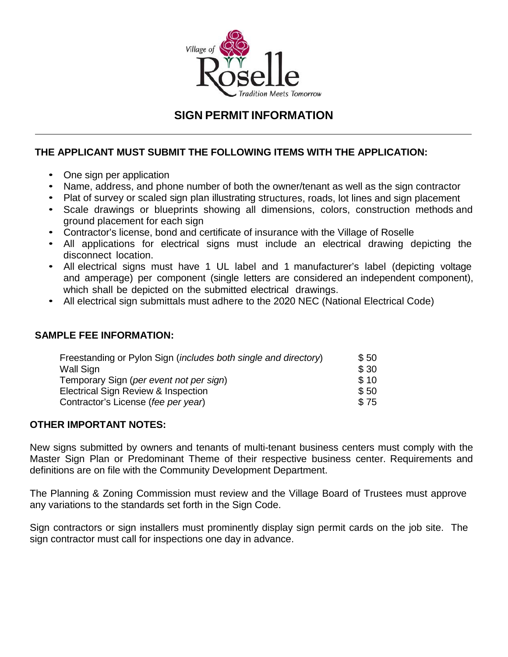

# **SIGN PERMIT INFORMATION**

# **THE APPLICANT MUST SUBMIT THE FOLLOWING ITEMS WITH THE APPLICATION:**

- One sign per application
- Name, address, and phone number of both the owner/tenant as well as the sign contractor
- Plat of survey or scaled sign plan illustrating structures, roads, lot lines and sign placement
- Scale drawings or blueprints showing all dimensions, colors, construction methods and ground placement for each sign
- Contractor's license, bond and certificate of insurance with the Village of Roselle
- All applications for electrical signs must include an electrical drawing depicting the disconnect location.
- All electrical signs must have 1 UL label and 1 manufacturer's label (depicting voltage and amperage) per component (single letters are considered an independent component), which shall be depicted on the submitted electrical drawings.
- All electrical sign submittals must adhere to the 2020 NEC (National Electrical Code)

## **SAMPLE FEE INFORMATION:**

| Freestanding or Pylon Sign ( <i>includes both single and directory</i> ) | \$50 |
|--------------------------------------------------------------------------|------|
| Wall Sign                                                                | \$30 |
| Temporary Sign (per event not per sign)                                  | \$10 |
| Electrical Sign Review & Inspection                                      | \$50 |
| Contractor's License (fee per year)                                      | \$75 |

### **OTHER IMPORTANT NOTES:**

New signs submitted by owners and tenants of multi-tenant business centers must comply with the Master Sign Plan or Predominant Theme of their respective business center. Requirements and definitions are on file with the Community Development Department.

The Planning & Zoning Commission must review and the Village Board of Trustees must approve any variations to the standards set forth in the Sign Code.

Sign contractors or sign installers must prominently display sign permit cards on the job site. The sign contractor must call for inspections one day in advance.